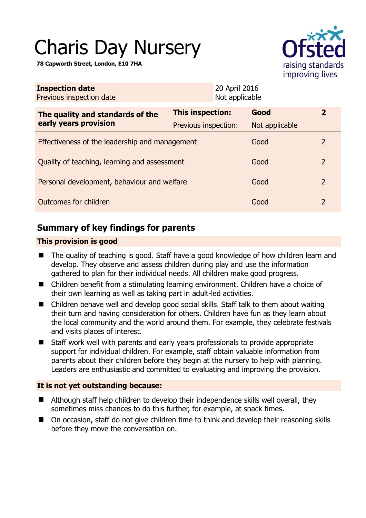# Charis Day Nursery

**78 Capworth Street, London, E10 7HA** 



| <b>Inspection date</b><br>Previous inspection date        |                         | 20 April 2016<br>Not applicable |                |                |
|-----------------------------------------------------------|-------------------------|---------------------------------|----------------|----------------|
| The quality and standards of the<br>early years provision | <b>This inspection:</b> |                                 | Good           | 2              |
|                                                           | Previous inspection:    |                                 | Not applicable |                |
| Effectiveness of the leadership and management            |                         |                                 | Good           | 2              |
| Quality of teaching, learning and assessment              |                         |                                 | Good           | $\overline{2}$ |
| Personal development, behaviour and welfare               |                         |                                 | Good           | 2              |
| Outcomes for children                                     |                         |                                 | Good           | $\overline{2}$ |

# **Summary of key findings for parents**

## **This provision is good**

- The quality of teaching is good. Staff have a good knowledge of how children learn and develop. They observe and assess children during play and use the information gathered to plan for their individual needs. All children make good progress.
- Children benefit from a stimulating learning environment. Children have a choice of their own learning as well as taking part in adult-led activities.
- Children behave well and develop good social skills. Staff talk to them about waiting their turn and having consideration for others. Children have fun as they learn about the local community and the world around them. For example, they celebrate festivals and visits places of interest.
- Staff work well with parents and early years professionals to provide appropriate support for individual children. For example, staff obtain valuable information from parents about their children before they begin at the nursery to help with planning. Leaders are enthusiastic and committed to evaluating and improving the provision.

## **It is not yet outstanding because:**

- Although staff help children to develop their independence skills well overall, they sometimes miss chances to do this further, for example, at snack times.
- On occasion, staff do not give children time to think and develop their reasoning skills before they move the conversation on.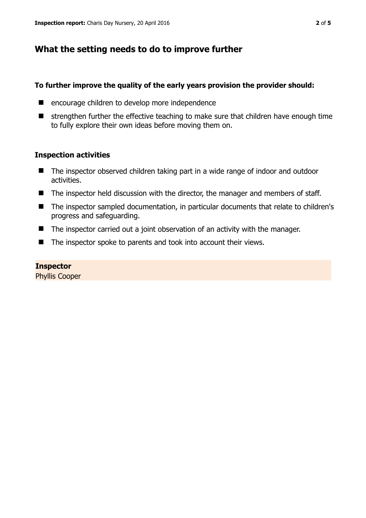## **What the setting needs to do to improve further**

#### **To further improve the quality of the early years provision the provider should:**

- **E** encourage children to develop more independence
- $\blacksquare$  strengthen further the effective teaching to make sure that children have enough time to fully explore their own ideas before moving them on.

#### **Inspection activities**

- The inspector observed children taking part in a wide range of indoor and outdoor activities.
- The inspector held discussion with the director, the manager and members of staff.
- The inspector sampled documentation, in particular documents that relate to children's progress and safeguarding.
- The inspector carried out a joint observation of an activity with the manager.
- The inspector spoke to parents and took into account their views.

#### **Inspector**

Phyllis Cooper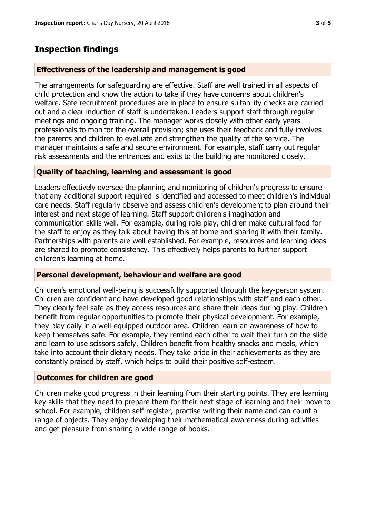# **Inspection findings**

#### **Effectiveness of the leadership and management is good**

The arrangements for safeguarding are effective. Staff are well trained in all aspects of child protection and know the action to take if they have concerns about children's welfare. Safe recruitment procedures are in place to ensure suitability checks are carried out and a clear induction of staff is undertaken. Leaders support staff through regular meetings and ongoing training. The manager works closely with other early years professionals to monitor the overall provision; she uses their feedback and fully involves the parents and children to evaluate and strengthen the quality of the service. The manager maintains a safe and secure environment. For example, staff carry out regular risk assessments and the entrances and exits to the building are monitored closely.

#### **Quality of teaching, learning and assessment is good**

Leaders effectively oversee the planning and monitoring of children's progress to ensure that any additional support required is identified and accessed to meet children's individual care needs. Staff regularly observe and assess children's development to plan around their interest and next stage of learning. Staff support children's imagination and communication skills well. For example, during role play, children make cultural food for the staff to enjoy as they talk about having this at home and sharing it with their family. Partnerships with parents are well established. For example, resources and learning ideas are shared to promote consistency. This effectively helps parents to further support children's learning at home.

#### **Personal development, behaviour and welfare are good**

Children's emotional well-being is successfully supported through the key-person system. Children are confident and have developed good relationships with staff and each other. They clearly feel safe as they access resources and share their ideas during play. Children benefit from regular opportunities to promote their physical development. For example, they play daily in a well-equipped outdoor area. Children learn an awareness of how to keep themselves safe. For example, they remind each other to wait their turn on the slide and learn to use scissors safely. Children benefit from healthy snacks and meals, which take into account their dietary needs. They take pride in their achievements as they are constantly praised by staff, which helps to build their positive self-esteem.

## **Outcomes for children are good**

Children make good progress in their learning from their starting points. They are learning key skills that they need to prepare them for their next stage of learning and their move to school. For example, children self-register, practise writing their name and can count a range of objects. They enjoy developing their mathematical awareness during activities and get pleasure from sharing a wide range of books.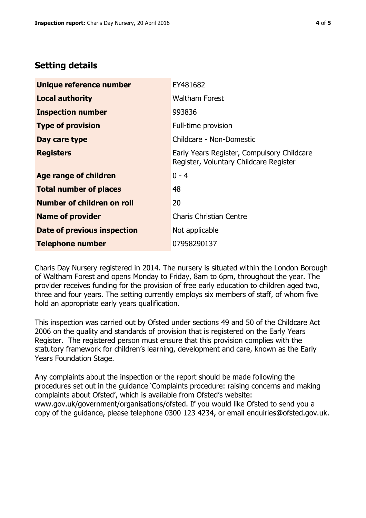## **Setting details**

| Unique reference number       | EY481682                                                                             |  |
|-------------------------------|--------------------------------------------------------------------------------------|--|
| <b>Local authority</b>        | <b>Waltham Forest</b>                                                                |  |
| <b>Inspection number</b>      | 993836                                                                               |  |
| <b>Type of provision</b>      | Full-time provision                                                                  |  |
| Day care type                 | Childcare - Non-Domestic                                                             |  |
| <b>Registers</b>              | Early Years Register, Compulsory Childcare<br>Register, Voluntary Childcare Register |  |
| <b>Age range of children</b>  | $0 - 4$                                                                              |  |
| <b>Total number of places</b> | 48                                                                                   |  |
| Number of children on roll    | 20                                                                                   |  |
| <b>Name of provider</b>       | <b>Charis Christian Centre</b>                                                       |  |
| Date of previous inspection   | Not applicable                                                                       |  |
| <b>Telephone number</b>       | 07958290137                                                                          |  |

Charis Day Nursery registered in 2014. The nursery is situated within the London Borough of Waltham Forest and opens Monday to Friday, 8am to 6pm, throughout the year. The provider receives funding for the provision of free early education to children aged two, three and four years. The setting currently employs six members of staff, of whom five hold an appropriate early years qualification.

This inspection was carried out by Ofsted under sections 49 and 50 of the Childcare Act 2006 on the quality and standards of provision that is registered on the Early Years Register. The registered person must ensure that this provision complies with the statutory framework for children's learning, development and care, known as the Early Years Foundation Stage.

Any complaints about the inspection or the report should be made following the procedures set out in the guidance 'Complaints procedure: raising concerns and making complaints about Ofsted', which is available from Ofsted's website: www.gov.uk/government/organisations/ofsted. If you would like Ofsted to send you a copy of the guidance, please telephone 0300 123 4234, or email enquiries@ofsted.gov.uk.